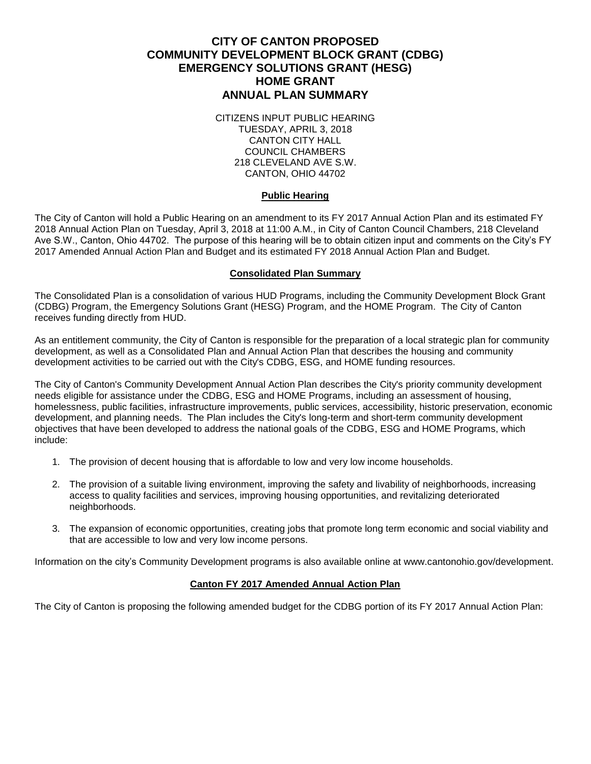# **CITY OF CANTON PROPOSED COMMUNITY DEVELOPMENT BLOCK GRANT (CDBG) EMERGENCY SOLUTIONS GRANT (HESG) HOME GRANT ANNUAL PLAN SUMMARY**

CITIZENS INPUT PUBLIC HEARING TUESDAY, APRIL 3, 2018 CANTON CITY HALL COUNCIL CHAMBERS 218 CLEVELAND AVE S.W. CANTON, OHIO 44702

## **Public Hearing**

The City of Canton will hold a Public Hearing on an amendment to its FY 2017 Annual Action Plan and its estimated FY 2018 Annual Action Plan on Tuesday, April 3, 2018 at 11:00 A.M., in City of Canton Council Chambers, 218 Cleveland Ave S.W., Canton, Ohio 44702. The purpose of this hearing will be to obtain citizen input and comments on the City's FY 2017 Amended Annual Action Plan and Budget and its estimated FY 2018 Annual Action Plan and Budget.

#### **Consolidated Plan Summary**

The Consolidated Plan is a consolidation of various HUD Programs, including the Community Development Block Grant (CDBG) Program, the Emergency Solutions Grant (HESG) Program, and the HOME Program. The City of Canton receives funding directly from HUD.

As an entitlement community, the City of Canton is responsible for the preparation of a local strategic plan for community development, as well as a Consolidated Plan and Annual Action Plan that describes the housing and community development activities to be carried out with the City's CDBG, ESG, and HOME funding resources.

The City of Canton's Community Development Annual Action Plan describes the City's priority community development needs eligible for assistance under the CDBG, ESG and HOME Programs, including an assessment of housing, homelessness, public facilities, infrastructure improvements, public services, accessibility, historic preservation, economic development, and planning needs. The Plan includes the City's long-term and short-term community development objectives that have been developed to address the national goals of the CDBG, ESG and HOME Programs, which include:

- 1. The provision of decent housing that is affordable to low and very low income households.
- 2. The provision of a suitable living environment, improving the safety and livability of neighborhoods, increasing access to quality facilities and services, improving housing opportunities, and revitalizing deteriorated neighborhoods.
- 3. The expansion of economic opportunities, creating jobs that promote long term economic and social viability and that are accessible to low and very low income persons.

Information on the city's Community Development programs is also available online at www.cantonohio.gov/development.

#### **Canton FY 2017 Amended Annual Action Plan**

The City of Canton is proposing the following amended budget for the CDBG portion of its FY 2017 Annual Action Plan: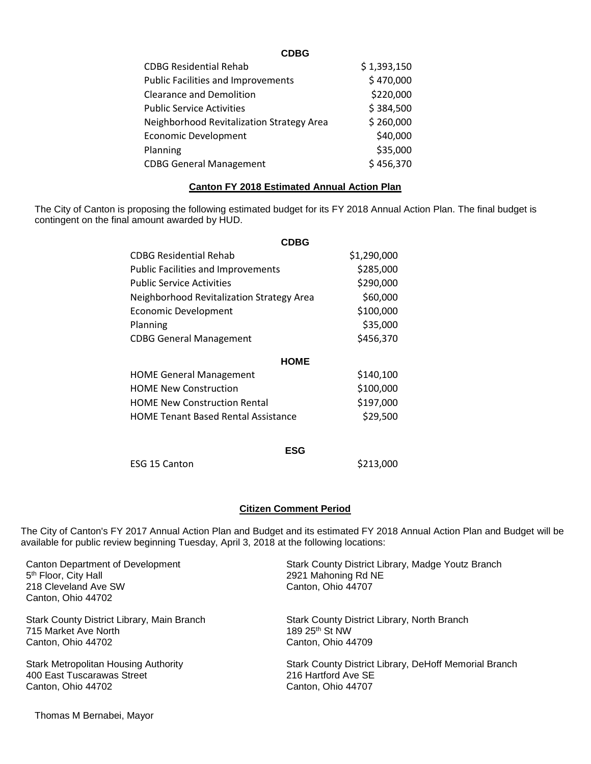| \$1,393,150 |
|-------------|
| \$470,000   |
| \$220,000   |
| \$384,500   |
| \$260,000   |
| \$40,000    |
| \$35,000    |
| \$456,370   |
|             |

### **Canton FY 2018 Estimated Annual Action Plan**

The City of Canton is proposing the following estimated budget for its FY 2018 Annual Action Plan. The final budget is contingent on the final amount awarded by HUD.

| <b>CDBG</b>                                |             |
|--------------------------------------------|-------------|
| CDBG Residential Rehab                     | \$1,290,000 |
| <b>Public Facilities and Improvements</b>  | \$285,000   |
| <b>Public Service Activities</b>           | \$290,000   |
| Neighborhood Revitalization Strategy Area  | \$60,000    |
| Economic Development                       | \$100,000   |
| Planning                                   | \$35,000    |
| <b>CDBG General Management</b>             | \$456,370   |
| <b>HOME</b>                                |             |
| <b>HOME General Management</b>             | \$140,100   |
| <b>HOME New Construction</b>               | \$100,000   |
| <b>HOME New Construction Rental</b>        | \$197,000   |
| <b>HOME Tenant Based Rental Assistance</b> | \$29,500    |
|                                            |             |
| ESG                                        |             |
| ESG 15 Canton                              | \$213,000   |

# **Citizen Comment Period**

The City of Canton's FY 2017 Annual Action Plan and Budget and its estimated FY 2018 Annual Action Plan and Budget will be available for public review beginning Tuesday, April 3, 2018 at the following locations:

| Canton Department of Development<br>5 <sup>th</sup> Floor, City Hall<br>218 Cleveland Ave SW<br>Canton, Ohio 44702 | Stark County District Library, Madge Youtz Branch<br>2921 Mahoning Rd NE<br>Canton, Ohio 44707 |
|--------------------------------------------------------------------------------------------------------------------|------------------------------------------------------------------------------------------------|
| Stark County District Library, Main Branch                                                                         | Stark County District Library, North Branch                                                    |
| 715 Market Ave North                                                                                               | 189 25th St NW                                                                                 |
| Canton, Ohio 44702                                                                                                 | Canton, Ohio 44709                                                                             |
| <b>Stark Metropolitan Housing Authority</b>                                                                        | Stark County District Library, DeHoff Memorial Branch                                          |
| 400 East Tuscarawas Street                                                                                         | 216 Hartford Ave SE                                                                            |
| Canton, Ohio 44702                                                                                                 | Canton, Ohio 44707                                                                             |

Thomas M Bernabei, Mayor